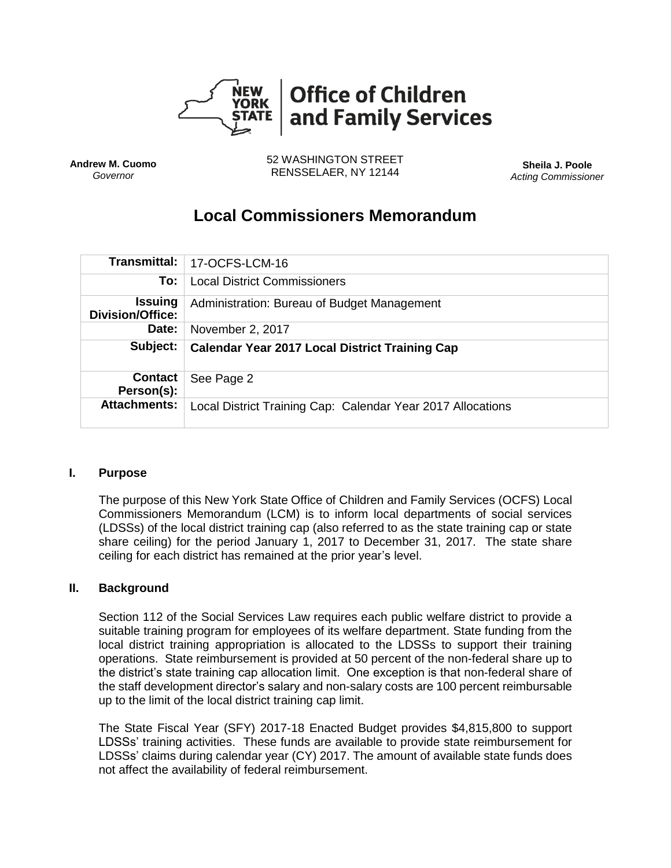

**Andrew M. Cuomo** *Governor*

52 WASHINGTON STREET RENSSELAER, NY 12144 **Sheila J. Poole**

*Acting Commissioner*

# **Local Commissioners Memorandum**

| Transmittal:                              | 17-OCFS-LCM-16                                              |
|-------------------------------------------|-------------------------------------------------------------|
| To:                                       | <b>Local District Commissioners</b>                         |
| <b>Issuing</b><br><b>Division/Office:</b> | Administration: Bureau of Budget Management                 |
| Date:                                     | November 2, 2017                                            |
| Subject:                                  | <b>Calendar Year 2017 Local District Training Cap</b>       |
| <b>Contact</b><br>Person(s):              | See Page 2                                                  |
| <b>Attachments:</b>                       | Local District Training Cap: Calendar Year 2017 Allocations |

#### **I. Purpose**

The purpose of this New York State Office of Children and Family Services (OCFS) Local Commissioners Memorandum (LCM) is to inform local departments of social services (LDSSs) of the local district training cap (also referred to as the state training cap or state share ceiling) for the period January 1, 2017 to December 31, 2017. The state share ceiling for each district has remained at the prior year's level.

#### **II. Background**

Section 112 of the Social Services Law requires each public welfare district to provide a suitable training program for employees of its welfare department. State funding from the local district training appropriation is allocated to the LDSSs to support their training operations. State reimbursement is provided at 50 percent of the non-federal share up to the district's state training cap allocation limit. One exception is that non-federal share of the staff development director's salary and non-salary costs are 100 percent reimbursable up to the limit of the local district training cap limit.

The State Fiscal Year (SFY) 2017-18 Enacted Budget provides \$4,815,800 to support LDSSs' training activities. These funds are available to provide state reimbursement for LDSSs' claims during calendar year (CY) 2017. The amount of available state funds does not affect the availability of federal reimbursement.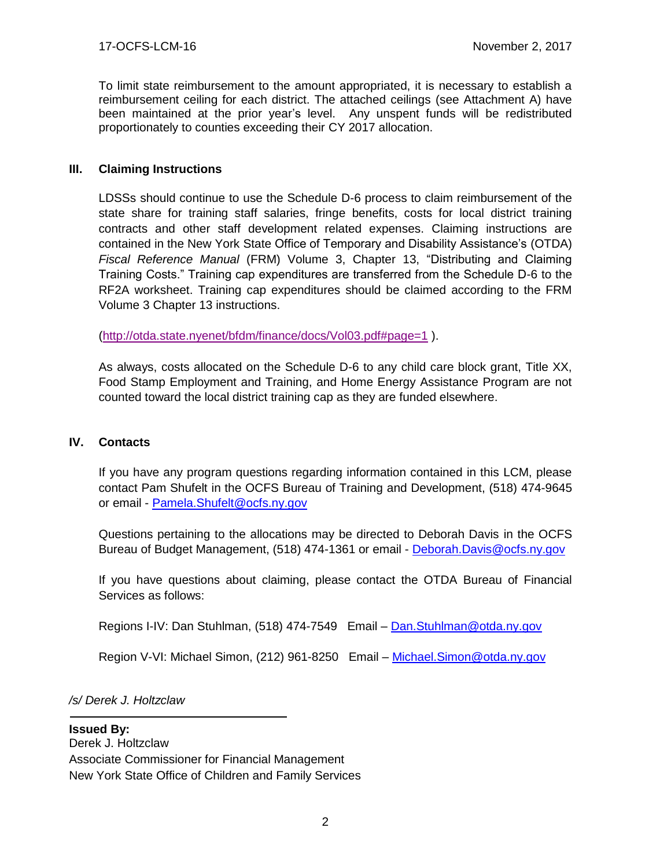To limit state reimbursement to the amount appropriated, it is necessary to establish a reimbursement ceiling for each district. The attached ceilings (see Attachment A) have been maintained at the prior year's level. Any unspent funds will be redistributed proportionately to counties exceeding their CY 2017 allocation.

### **III. Claiming Instructions**

LDSSs should continue to use the Schedule D-6 process to claim reimbursement of the state share for training staff salaries, fringe benefits, costs for local district training contracts and other staff development related expenses. Claiming instructions are contained in the New York State Office of Temporary and Disability Assistance's (OTDA) *Fiscal Reference Manual* (FRM) Volume 3, Chapter 13, "Distributing and Claiming Training Costs." Training cap expenditures are transferred from the Schedule D-6 to the RF2A worksheet. Training cap expenditures should be claimed according to the FRM Volume 3 Chapter 13 instructions.

[\(http://otda.state.nyenet/bfdm/finance/docs/Vol03.pdf#page=1](http://otda.state.nyenet/bfdm/finance/docs/Vol03.pdf#page=1) ).

As always, costs allocated on the Schedule D-6 to any child care block grant, Title XX, Food Stamp Employment and Training, and Home Energy Assistance Program are not counted toward the local district training cap as they are funded elsewhere.

#### **IV. Contacts**

If you have any program questions regarding information contained in this LCM, please contact Pam Shufelt in the OCFS Bureau of Training and Development, (518) 474-9645 or email - [Pamela.Shufelt@ocfs.ny.gov](mailto:Pamela.Shufelt@ocfs.ny.gov)

Questions pertaining to the allocations may be directed to Deborah Davis in the OCFS Bureau of Budget Management, (518) 474-1361 or email - [Deborah.Davis@ocfs.ny.gov](mailto:Deborah.Davis@ocfs.ny.gov)

If you have questions about claiming, please contact the OTDA Bureau of Financial Services as follows:

Regions I-IV: Dan Stuhlman, (518) 474-7549 Email - Dan. Stuhlman@otda.ny.gov

Region V-VI: Michael Simon, (212) 961-8250 Email - [Michael.Simon@otda.ny.gov](mailto:Michael.Simon@otda.ny.gov)

*/s/ Derek J. Holtzclaw*

#### **Issued By:**

Derek J. Holtzclaw Associate Commissioner for Financial Management New York State Office of Children and Family Services